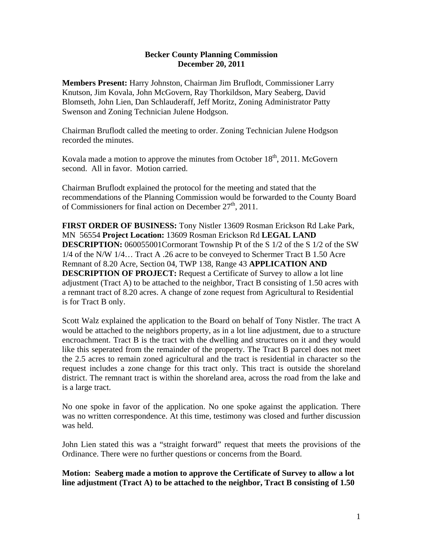## **Becker County Planning Commission December 20, 2011**

**Members Present:** Harry Johnston, Chairman Jim Bruflodt, Commissioner Larry Knutson, Jim Kovala, John McGovern, Ray Thorkildson, Mary Seaberg, David Blomseth, John Lien, Dan Schlauderaff, Jeff Moritz, Zoning Administrator Patty Swenson and Zoning Technician Julene Hodgson.

Chairman Bruflodt called the meeting to order. Zoning Technician Julene Hodgson recorded the minutes.

Kovala made a motion to approve the minutes from October  $18<sup>th</sup>$ , 2011. McGovern second. All in favor. Motion carried.

Chairman Bruflodt explained the protocol for the meeting and stated that the recommendations of the Planning Commission would be forwarded to the County Board of Commissioners for final action on December  $27<sup>th</sup>$ , 2011.

**FIRST ORDER OF BUSINESS:** Tony Nistler 13609 Rosman Erickson Rd Lake Park, MN 56554 **Project Location:** 13609 Rosman Erickson Rd **LEGAL LAND DESCRIPTION:** 060055001Cormorant Township Pt of the S 1/2 of the S 1/2 of the SW 1/4 of the N/W 1/4… Tract A .26 acre to be conveyed to Schermer Tract B 1.50 Acre Remnant of 8.20 Acre, Section 04, TWP 138, Range 43 **APPLICATION AND DESCRIPTION OF PROJECT:** Request a Certificate of Survey to allow a lot line adjustment (Tract A) to be attached to the neighbor, Tract B consisting of 1.50 acres with a remnant tract of 8.20 acres. A change of zone request from Agricultural to Residential is for Tract B only.

Scott Walz explained the application to the Board on behalf of Tony Nistler. The tract A would be attached to the neighbors property, as in a lot line adjustment, due to a structure encroachment. Tract B is the tract with the dwelling and structures on it and they would like this seperated from the remainder of the property. The Tract B parcel does not meet the 2.5 acres to remain zoned agricultural and the tract is residential in character so the request includes a zone change for this tract only. This tract is outside the shoreland district. The remnant tract is within the shoreland area, across the road from the lake and is a large tract.

No one spoke in favor of the application. No one spoke against the application. There was no written correspondence. At this time, testimony was closed and further discussion was held.

John Lien stated this was a "straight forward" request that meets the provisions of the Ordinance. There were no further questions or concerns from the Board.

**Motion: Seaberg made a motion to approve the Certificate of Survey to allow a lot line adjustment (Tract A) to be attached to the neighbor, Tract B consisting of 1.50**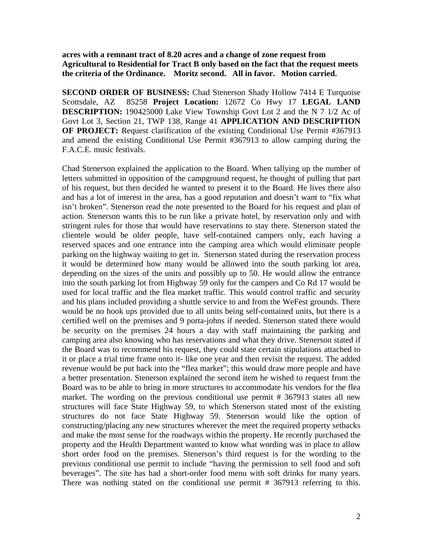**acres with a remnant tract of 8.20 acres and a change of zone request from Agricultural to Residential for Tract B only based on the fact that the request meets the criteria of the Ordinance. Moritz second. All in favor. Motion carried.** 

**SECOND ORDER OF BUSINESS:** Chad Stenerson Shady Hollow 7414 E Turquoise Scottsdale, AZ 85258 **Project Location:** 12672 Co Hwy 17 **LEGAL LAND DESCRIPTION:** 190425000 Lake View Township Govt Lot 2 and the N 7 1/2 Ac of Govt Lot 3, Section 21, TWP 138, Range 41 **APPLICATION AND DESCRIPTION OF PROJECT:** Request clarification of the existing Conditional Use Permit #367913 and amend the existing Conditional Use Permit #367913 to allow camping during the F.A.C.E. music festivals.

Chad Stenerson explained the application to the Board. When tallying up the number of letters submitted in opposition of the campground request, he thought of pulling that part of his request, but then decided he wanted to present it to the Board. He lives there also and has a lot of interest in the area, has a good reputation and doesn't want to "fix what isn't broken". Stenerson read the note presented to the Board for his request and plan of action. Stenerson wants this to be run like a private hotel, by reservation only and with stringent rules for those that would have reservations to stay there. Stenerson stated the clientele would be older people, have self-contained campers only, each having a reserved spaces and one entrance into the camping area which would eliminate people parking on the highway waiting to get in. Stenerson stated during the reservation process it would be determined how many would be allowed into the south parking lot area, depending on the sizes of the units and possibly up to 50. He would allow the entrance into the south parking lot from Highway 59 only for the campers and Co Rd 17 would be used for local traffic and the flea market traffic. This would control traffic and security and his plans included providing a shuttle service to and from the WeFest grounds. There would be no hook ups provided due to all units being self-contained units, but there is a certified well on the premises and 9 porta-johns if needed. Stenerson stated there would be security on the premises 24 hours a day with staff maintaining the parking and camping area also knowing who has reservations and what they drive. Stenerson stated if the Board was to recommend his request, they could state certain stipulations attached to it or place a trial time frame onto it- like one year and then revisit the request. The added revenue would be put back into the "flea market"; this would draw more people and have a better presentation. Stenerson explained the second item he wished to request from the Board was to be able to bring in more structures to accommodate his vendors for the flea market. The wording on the previous conditional use permit # 367913 states all new structures will face State Highway 59, to which Stenerson stated most of the existing structures do not face State Highway 59. Stenerson would like the option of constructing/placing any new structures wherever the meet the required property setbacks and make the most sense for the roadways within the property. He recently purchased the property and the Health Department wanted to know what wording was in place to allow short order food on the premises. Stenerson's third request is for the wording to the previous conditional use permit to include "having the permission to sell food and soft beverages". The site has had a short-order food menu with soft drinks for many years. There was nothing stated on the conditional use permit # 367913 referring to this.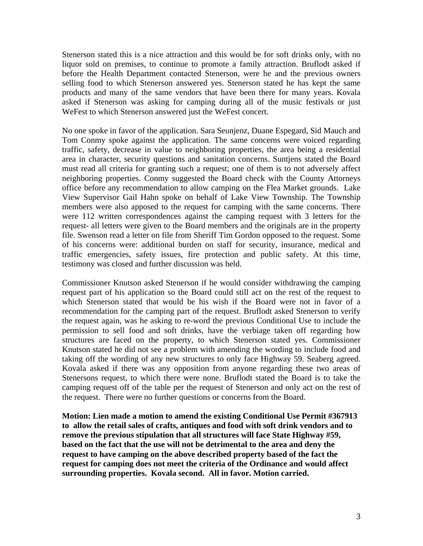Stenerson stated this is a nice attraction and this would be for soft drinks only, with no liquor sold on premises, to continue to promote a family attraction. Bruflodt asked if before the Health Department contacted Stenerson, were he and the previous owners selling food to which Stenerson answered yes. Stenerson stated he has kept the same products and many of the same vendors that have been there for many years. Kovala asked if Stenerson was asking for camping during all of the music festivals or just WeFest to which Stenerson answered just the WeFest concert.

No one spoke in favor of the application. Sara Seunjenz, Duane Espegard, Sid Mauch and Tom Conmy spoke against the application. The same concerns were voiced regarding traffic, safety, decrease in value to neighboring properties, the area being a residential area in character, security questions and sanitation concerns. Suntjens stated the Board must read all criteria for granting such a request; one of them is to not adversely affect neighboring properties. Conmy suggested the Board check with the County Attorneys office before any recommendation to allow camping on the Flea Market grounds. Lake View Supervisor Gail Hahn spoke on behalf of Lake View Township. The Township members were also apposed to the request for camping with the same concerns. There were 112 written correspondences against the camping request with 3 letters for the request- all letters were given to the Board members and the originals are in the property file. Swenson read a letter on file from Sheriff Tim Gordon opposed to the request. Some of his concerns were: additional burden on staff for security, insurance, medical and traffic emergencies, safety issues, fire protection and public safety. At this time, testimony was closed and further discussion was held.

Commissioner Knutson asked Stenerson if he would consider withdrawing the camping request part of his application so the Board could still act on the rest of the request to which Stenerson stated that would be his wish if the Board were not in favor of a recommendation for the camping part of the request. Bruflodt asked Stenerson to verify the request again, was he asking to re-word the previous Conditional Use to include the permission to sell food and soft drinks, have the verbiage taken off regarding how structures are faced on the property, to which Stenerson stated yes. Commissioner Knutson stated he did not see a problem with amending the wording to include food and taking off the wording of any new structures to only face Highway 59. Seaberg agreed. Kovala asked if there was any opposition from anyone regarding these two areas of Stenersons request, to which there were none. Bruflodt stated the Board is to take the camping request off of the table per the request of Stenerson and only act on the rest of the request. There were no further questions or concerns from the Board.

**Motion: Lien made a motion to amend the existing Conditional Use Permit #367913 to allow the retail sales of crafts, antiques and food with soft drink vendors and to remove the previous stipulation that all structures will face State Highway #59, based on the fact that the use will not be detrimental to the area and deny the request to have camping on the above described property based of the fact the request for camping does not meet the criteria of the Ordinance and would affect surrounding properties. Kovala second. All in favor. Motion carried.**